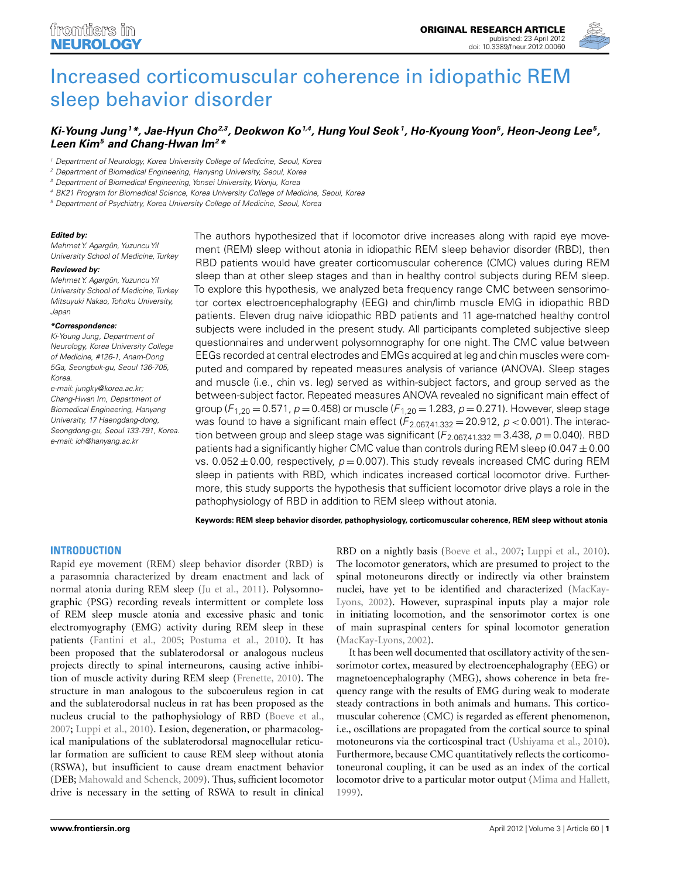

# [Increased corticomuscular coherence in idiopathic REM](http://www.frontiersin.org/Sleep_and_Chronobiology/10.3389/fneur.2012.00060/abstract) sleep behavior disorder

## *[Ki-Young Jung1](http://www.frontiersin.org/Community/WhosWhoActivity.aspx?sname=Ki_YoungJung&UID=42472)\*, Jae-Hyun Cho2,3, Deokwon Ko1,4, HungYoul Seok 1, Ho-KyoungYoon5, Heon-Jeong Lee5, Leen Kim5 and Chang-Hwan Im2\**

<sup>1</sup> Department of Neurology, Korea University College of Medicine, Seoul, Korea

<sup>2</sup> Department of Biomedical Engineering, Hanyang University, Seoul, Korea

<sup>3</sup> Department of Biomedical Engineering, Yonsei University, Wonju, Korea

<sup>4</sup> BK21 Program for Biomedical Science, Korea University College of Medicine, Seoul, Korea

<sup>5</sup> Department of Psychiatry, Korea University College of Medicine, Seoul, Korea

#### *Edited by:*

Mehmet Y. Agargün, Yuzuncu Yil University School of Medicine, Turkey

### *Reviewed by:*

Mehmet Y. Agargün, Yuzuncu Yil University School of Medicine, Turkey Mitsuyuki Nakao, Tohoku University, Japan

#### *\*Correspondence:*

Ki-Young Jung, Department of Neurology, Korea University College of Medicine, #126-1, Anam-Dong 5Ga, Seongbuk-gu, Seoul 136-705, Korea.

e-mail: [jungky@korea.ac.kr;](mailto:jungky@korea.ac.kr) Chang-Hwan Im, Department of Biomedical Engineering, Hanyang University, 17 Haengdang-dong, Seongdong-gu, Seoul 133-791, Korea. e-mail: [ich@hanyang.ac.kr](mailto:ich@hanyang.ac.kr)

The authors hypothesized that if locomotor drive increases along with rapid eye movement (REM) sleep without atonia in idiopathic REM sleep behavior disorder (RBD), then RBD patients would have greater corticomuscular coherence (CMC) values during REM sleep than at other sleep stages and than in healthy control subjects during REM sleep. To explore this hypothesis, we analyzed beta frequency range CMC between sensorimotor cortex electroencephalography (EEG) and chin/limb muscle EMG in idiopathic RBD patients. Eleven drug naive idiopathic RBD patients and 11 age-matched healthy control subjects were included in the present study. All participants completed subjective sleep questionnaires and underwent polysomnography for one night. The CMC value between EEGs recorded at central electrodes and EMGs acquired at leg and chin muscles were computed and compared by repeated measures analysis of variance (ANOVA). Sleep stages and muscle (i.e., chin vs. leg) served as within-subject factors, and group served as the between-subject factor. Repeated measures ANOVA revealed no significant main effect of group ( $F_{1,20} = 0.571$ ,  $p = 0.458$ ) or muscle ( $F_{1,20} = 1.283$ ,  $p = 0.271$ ). However, sleep stage was found to have a significant main effect  $(F_{2.067,41.332} = 20.912, p < 0.001)$ . The interaction between group and sleep stage was significant ( $F_{2.067,41.332}$  = 3.438,  $p$  = 0.040). RBD patients had a significantly higher CMC value than controls during REM sleep (0.047  $\pm$  0.00 vs. 0.052  $\pm$  0.00, respectively,  $p = 0.007$ ). This study reveals increased CMC during REM sleep in patients with RBD, which indicates increased cortical locomotor drive. Furthermore, this study supports the hypothesis that sufficient locomotor drive plays a role in the pathophysiology of RBD in addition to REM sleep without atonia.

**Keywords: REM sleep behavior disorder, pathophysiology, corticomuscular coherence, REM sleep without atonia**

## **INTRODUCTION**

Rapid eye movement (REM) sleep behavior disorder (RBD) is a parasomnia characterized by dream enactment and lack of normal atonia during REM sleep [\(Ju et al., 2011\)](#page-5-0). Polysomnographic (PSG) recording reveals intermittent or complete loss of REM sleep muscle atonia and excessive phasic and tonic electromyography (EMG) activity during REM sleep in these patients [\(Fantini et al.](#page-5-0), [2005;](#page-5-0) [Postuma et al.](#page-5-0), [2010\)](#page-5-0). It has been proposed that the sublaterodorsal or analogous nucleus projects directly to spinal interneurons, causing active inhibition of muscle activity during REM sleep [\(Frenette, 2010](#page-5-0)). The structure in man analogous to the subcoeruleus region in cat and the sublaterodorsal nucleus in rat has been proposed as the nucleus crucial to the pathophysiology of RBD [\(Boeve et al.,](#page-5-0) [2007;](#page-5-0) [Luppi et al.](#page-5-0), [2010](#page-5-0)). Lesion, degeneration, or pharmacological manipulations of the sublaterodorsal magnocellular reticular formation are sufficient to cause REM sleep without atonia (RSWA), but insufficient to cause dream enactment behavior (DEB; [Mahowald and Schenck](#page-5-0), [2009](#page-5-0)). Thus, sufficient locomotor drive is necessary in the setting of RSWA to result in clinical

RBD on a nightly basis [\(Boeve et al.](#page-5-0), [2007](#page-5-0); [Luppi et al., 2010](#page-5-0)). The locomotor generators, which are presumed to project to the spinal motoneurons directly or indirectly via other brainstem nucle[i,](#page-5-0) [have](#page-5-0) [yet](#page-5-0) [to](#page-5-0) [be](#page-5-0) [identified](#page-5-0) [and](#page-5-0) [characterized](#page-5-0) [\(](#page-5-0)MacKay-Lyons, [2002](#page-5-0)). However, supraspinal inputs play a major role in initiating locomotion, and the sensorimotor cortex is one of main supraspinal centers for spinal locomotor generation [\(MacKay-Lyons, 2002](#page-5-0)).

It has been well documented that oscillatory activity of the sensorimotor cortex, measured by electroencephalography (EEG) or magnetoencephalography (MEG), shows coherence in beta frequency range with the results of EMG during weak to moderate steady contractions in both animals and humans. This corticomuscular coherence (CMC) is regarded as efferent phenomenon, i.e., oscillations are propagated from the cortical source to spinal motoneurons via the corticospinal tract [\(Ushiyama et al.](#page-5-0), [2010](#page-5-0)). Furthermore, because CMC quantitatively reflects the corticomotoneuronal coupling, it can be used as an index of the cortical locomotor drive to a particular motor output [\(Mima and Hallett,](#page-5-0) [1999\)](#page-5-0).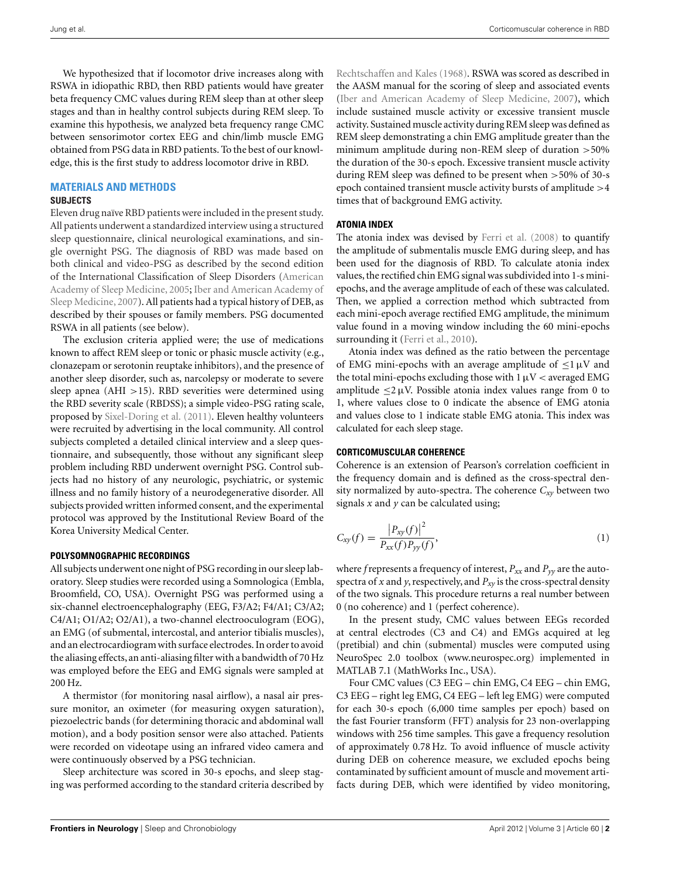We hypothesized that if locomotor drive increases along with RSWA in idiopathic RBD, then RBD patients would have greater beta frequency CMC values during REM sleep than at other sleep stages and than in healthy control subjects during REM sleep. To examine this hypothesis, we analyzed beta frequency range CMC between sensorimotor cortex EEG and chin/limb muscle EMG obtained from PSG data in RBD patients. To the best of our knowledge, this is the first study to address locomotor drive in RBD.

## **MATERIALS AND METHODS**

## **SUBJECTS**

Eleven drug naïve RBD patients were included in the present study. All patients underwent a standardized interview using a structured sleep questionnaire, clinical neurological examinations, and single overnight PSG. The diagnosis of RBD was made based on both clinical and video-PSG as described by the second edition of the International Classi[fication](#page-5-0) [of](#page-5-0) [Sleep](#page-5-0) [Disorders](#page-5-0) [\(](#page-5-0)American Academy of Sl[eep Medicine, 2005;](#page-5-0) Iber and American Academy of Sleep Medicine, [2007](#page-5-0)). All patients had a typical history of DEB, as described by their spouses or family members. PSG documented RSWA in all patients (see below).

The exclusion criteria applied were; the use of medications known to affect REM sleep or tonic or phasic muscle activity (e.g., clonazepam or serotonin reuptake inhibitors), and the presence of another sleep disorder, such as, narcolepsy or moderate to severe sleep apnea (AHI >15). RBD severities were determined using the RBD severity scale (RBDSS); a simple video-PSG rating scale, proposed by [Sixel-Doring et al.](#page-5-0) [\(2011](#page-5-0)). Eleven healthy volunteers were recruited by advertising in the local community. All control subjects completed a detailed clinical interview and a sleep questionnaire, and subsequently, those without any significant sleep problem including RBD underwent overnight PSG. Control subjects had no history of any neurologic, psychiatric, or systemic illness and no family history of a neurodegenerative disorder. All subjects provided written informed consent, and the experimental protocol was approved by the Institutional Review Board of the Korea University Medical Center.

### **POLYSOMNOGRAPHIC RECORDINGS**

All subjects underwent one night of PSG recording in our sleep laboratory. Sleep studies were recorded using a Somnologica (Embla, Broomfield, CO, USA). Overnight PSG was performed using a six-channel electroencephalography (EEG, F3/A2; F4/A1; C3/A2; C4/A1; O1/A2; O2/A1), a two-channel electrooculogram (EOG), an EMG (of submental, intercostal, and anterior tibialis muscles), and an electrocardiogram with surface electrodes. In order to avoid the aliasing effects, an anti-aliasing filter with a bandwidth of 70 Hz was employed before the EEG and EMG signals were sampled at 200 Hz.

A thermistor (for monitoring nasal airflow), a nasal air pressure monitor, an oximeter (for measuring oxygen saturation), piezoelectric bands (for determining thoracic and abdominal wall motion), and a body position sensor were also attached. Patients were recorded on videotape using an infrared video camera and were continuously observed by a PSG technician.

Sleep architecture was scored in 30-s epochs, and sleep staging was performed according to the standard criteria described by [Rechtschaffen and Kales](#page-5-0) [\(1968\)](#page-5-0). RSWA was scored as described in the AASM manual for the scoring of sleep and associated events [\(Iber and American Academy of Sleep Medicine, 2007\)](#page-5-0), which include sustained muscle activity or excessive transient muscle activity. Sustained muscle activity during REM sleep was defined as REM sleep demonstrating a chin EMG amplitude greater than the minimum amplitude during non-REM sleep of duration >50% the duration of the 30-s epoch. Excessive transient muscle activity during REM sleep was defined to be present when >50% of 30-s epoch contained transient muscle activity bursts of amplitude >4 times that of background EMG activity.

## **ATONIA INDEX**

The atonia index was devised by [Ferri et al.](#page-5-0) [\(2008](#page-5-0)) to quantify the amplitude of submentalis muscle EMG during sleep, and has been used for the diagnosis of RBD. To calculate atonia index values, the rectified chin EMG signal was subdivided into 1-s miniepochs, and the average amplitude of each of these was calculated. Then, we applied a correction method which subtracted from each mini-epoch average rectified EMG amplitude, the minimum value found in a moving window including the 60 mini-epochs surrounding it [\(Ferri et al., 2010\)](#page-5-0).

Atonia index was defined as the ratio between the percentage of EMG mini-epochs with an average amplitude of  $\leq$ 1  $\mu$ V and the total mini-epochs excluding those with  $1 \mu V <$  averaged EMG amplitude  $\langle 2 \mu V$ . Possible atonia index values range from 0 to 1, where values close to 0 indicate the absence of EMG atonia and values close to 1 indicate stable EMG atonia. This index was calculated for each sleep stage.

## **CORTICOMUSCULAR COHERENCE**

Coherence is an extension of Pearson's correlation coefficient in the frequency domain and is defined as the cross-spectral density normalized by auto-spectra. The coherence  $C_{xy}$  between two signals *x* and *y* can be calculated using;

$$
C_{xy}(f) = \frac{|P_{xy}(f)|^2}{P_{xx}(f)P_{yy}(f)},
$$
\n(1)

where *f* represents a frequency of interest,  $P_{xx}$  and  $P_{yy}$  are the autospectra of *x* and *y*, respectively, and  $P_{xy}$  is the cross-spectral density of the two signals. This procedure returns a real number between 0 (no coherence) and 1 (perfect coherence).

In the present study, CMC values between EEGs recorded at central electrodes (C3 and C4) and EMGs acquired at leg (pretibial) and chin (submental) muscles were computed using NeuroSpec 2.0 toolbox [\(www.neurospec.org\)](http://www.neurospec.org) implemented in MATLAB 7.1 (MathWorks Inc., USA).

Four CMC values (C3 EEG – chin EMG, C4 EEG – chin EMG, C3 EEG – right leg EMG, C4 EEG – left leg EMG) were computed for each 30-s epoch (6,000 time samples per epoch) based on the fast Fourier transform (FFT) analysis for 23 non-overlapping windows with 256 time samples. This gave a frequency resolution of approximately 0.78 Hz. To avoid influence of muscle activity during DEB on coherence measure, we excluded epochs being contaminated by sufficient amount of muscle and movement artifacts during DEB, which were identified by video monitoring,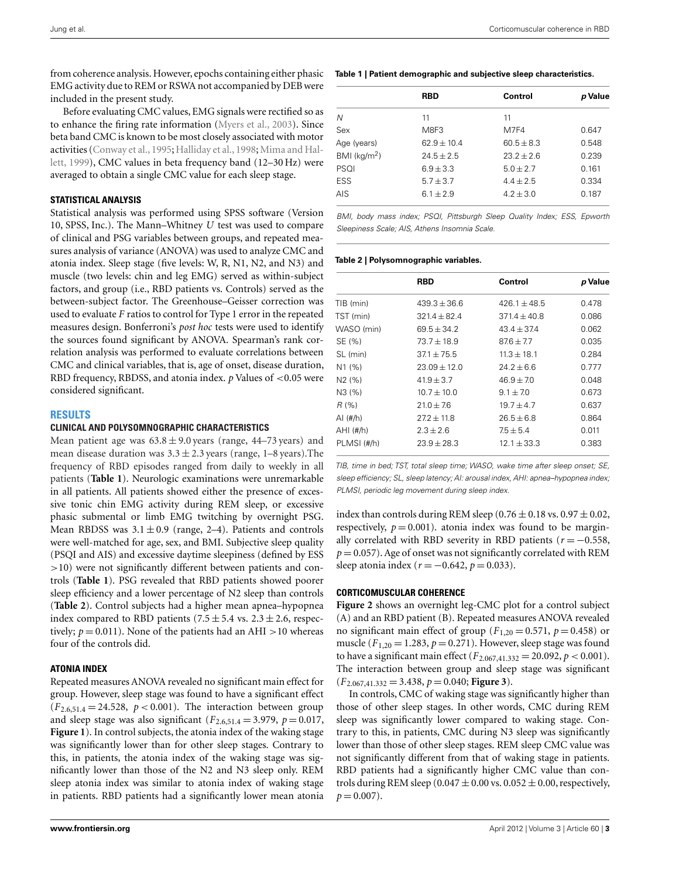from coherence analysis. However, epochs containing either phasic EMG activity due to REM or RSWA not accompanied by DEB were included in the present study.

Before evaluating CMC values, EMG signals were rectified so as to enhance the firing rate information [\(Myers et al., 2003\)](#page-5-0). Since beta band CMC is known to be most closely associated with motor act[ivities \(Conway et al., 1995;](#page-5-0) [Halliday et al.](#page-5-0), [1998;](#page-5-0) Mima and Hallett, [1999](#page-5-0)), CMC values in beta frequency band (12–30 Hz) were averaged to obtain a single CMC value for each sleep stage.

## **STATISTICAL ANALYSIS**

Statistical analysis was performed using SPSS software (Version 10, SPSS, Inc.). The Mann–Whitney *U* test was used to compare of clinical and PSG variables between groups, and repeated measures analysis of variance (ANOVA) was used to analyze CMC and atonia index. Sleep stage (five levels: W, R, N1, N2, and N3) and muscle (two levels: chin and leg EMG) served as within-subject factors, and group (i.e., RBD patients vs. Controls) served as the between-subject factor. The Greenhouse–Geisser correction was used to evaluate *F* ratios to control for Type 1 error in the repeated measures design. Bonferroni's *post hoc* tests were used to identify the sources found significant by ANOVA. Spearman's rank correlation analysis was performed to evaluate correlations between CMC and clinical variables, that is, age of onset, disease duration, RBD frequency, RBDSS, and atonia index. *p* Values of <0.05 were considered significant.

### **RESULTS**

#### **CLINICAL AND POLYSOMNOGRAPHIC CHARACTERISTICS**

Mean patient age was  $63.8 \pm 9.0$  years (range, 44–73 years) and mean disease duration was  $3.3 \pm 2.3$  years (range, 1–8 years). The frequency of RBD episodes ranged from daily to weekly in all patients (**Table 1**). Neurologic examinations were unremarkable in all patients. All patients showed either the presence of excessive tonic chin EMG activity during REM sleep, or excessive phasic submental or limb EMG twitching by overnight PSG. Mean RBDSS was  $3.1 \pm 0.9$  (range, 2–4). Patients and controls were well-matched for age, sex, and BMI. Subjective sleep quality (PSQI and AIS) and excessive daytime sleepiness (defined by ESS >10) were not significantly different between patients and controls (**Table 1**). PSG revealed that RBD patients showed poorer sleep efficiency and a lower percentage of N2 sleep than controls (**Table 2**). Control subjects had a higher mean apnea–hypopnea index compared to RBD patients (7.5  $\pm$  5.4 vs. 2.3  $\pm$  2.6, respectively;  $p = 0.011$ ). None of the patients had an AHI >10 whereas four of the controls did.

## **ATONIA INDEX**

Repeated measures ANOVA revealed no significant main effect for group. However, sleep stage was found to have a significant effect  $(F_{2.6,51.4} = 24.528, p < 0.001)$ . The interaction between group and sleep stage was also significant  $(F_{2,6,51,4} = 3.979, p = 0.017,$ **[Figure 1](#page-3-0)**). In control subjects, the atonia index of the waking stage was significantly lower than for other sleep stages. Contrary to this, in patients, the atonia index of the waking stage was significantly lower than those of the N2 and N3 sleep only. REM sleep atonia index was similar to atonia index of waking stage in patients. RBD patients had a significantly lower mean atonia

#### **Table 1 | Patient demographic and subjective sleep characteristics.**

|                            | <b>RBD</b>    | Control        | p Value |
|----------------------------|---------------|----------------|---------|
| N                          | 11            | 11             |         |
| Sex                        | M8F3          | M7F4           | 0.647   |
| Age (years)                | $62.9 + 10.4$ | $60.5 \pm 8.3$ | 0.548   |
| $BMI$ (kg/m <sup>2</sup> ) | $24.5 + 2.5$  | $23.2 + 2.6$   | 0.239   |
| PSQI                       | $6.9 + 3.3$   | $5.0 + 2.7$    | 0.161   |
| <b>ESS</b>                 | $5.7 \pm 3.7$ | $4.4 + 2.5$    | 0.334   |
| AIS                        | $6.1 \pm 2.9$ | $4.2 \pm 3.0$  | 0.187   |

BMI, body mass index; PSQI, Pittsburgh Sleep Quality Index; ESS, Epworth Sleepiness Scale; AIS, Athens Insomnia Scale.

### **Table 2 | Polysomnographic variables.**

|                    | <b>RBD</b>     | Control          | p Value |
|--------------------|----------------|------------------|---------|
| TIB (min)          | $439.3 + 36.6$ | $426.1 \pm 48.5$ | 0.478   |
| TST (min)          | $321.4 + 82.4$ | $371.4 + 40.8$   | 0.086   |
| WASO (min)         | $69.5 + 34.2$  | $43.4 + 37.4$    | 0.062   |
| SE (%)             | $73.7 + 18.9$  | $876 + 77$       | 0.035   |
| SL (min)           | $371 + 75.5$   | $11.3 + 18.1$    | 0.284   |
| N <sub>1</sub> (%) | $23.09 + 12.0$ | $24.2 + 6.6$     | 0.777   |
| N2(%)              | $41.9 + 3.7$   | $46.9 + 7.0$     | 0.048   |
| N3 (%)             | $10.7 + 10.0$  | $9.1 + 7.0$      | 0.673   |
| R (%)              | $21.0 + 7.6$   | $19.7 + 4.7$     | 0.637   |
| AI $(\#/h)$        | $272 + 11.8$   | $26.5 \pm 6.8$   | 0.864   |
| $AHI$ (#/h)        | $2.3 + 2.6$    | $7.5 + 5.4$      | 0.011   |
| PLMSI(#/h)         | $23.9 + 28.3$  | $12.1 + 33.3$    | 0.383   |

TIB, time in bed; TST, total sleep time; WASO, wake time after sleep onset; SE, sleep efficiency; SL, sleep latency; AI: arousal index, AHI: apnea–hypopnea index; PLMSI, periodic leg movement during sleep index.

index than controls during REM sleep  $(0.76 \pm 0.18 \text{ vs. } 0.97 \pm 0.02,$ respectively,  $p = 0.001$ ). atonia index was found to be marginally correlated with RBD severity in RBD patients  $(r = -0.558,$  $p = 0.057$ ). Age of onset was not significantly correlated with REM sleep atonia index ( $r = -0.642$ ,  $p = 0.033$ ).

### **CORTICOMUSCULAR COHERENCE**

**[Figure 2](#page-3-0)** shows an overnight leg-CMC plot for a control subject (A) and an RBD patient (B). Repeated measures ANOVA revealed no significant main effect of group  $(F_{1,20} = 0.571, p = 0.458)$  or muscle ( $F_{1,20} = 1.283$ ,  $p = 0.271$ ). However, sleep stage was found to have a significant main effect  $(F_{2.067,41.332} = 20.092, p < 0.001)$ . The interaction between group and sleep stage was significant  $(F_{2.067,41.332} = 3.438, p = 0.040;$  **[Figure 3](#page-4-0)**).

In controls, CMC of waking stage was significantly higher than those of other sleep stages. In other words, CMC during REM sleep was significantly lower compared to waking stage. Contrary to this, in patients, CMC during N3 sleep was significantly lower than those of other sleep stages. REM sleep CMC value was not significantly different from that of waking stage in patients. RBD patients had a significantly higher CMC value than controls during REM sleep  $(0.047 \pm 0.00 \text{ vs. } 0.052 \pm 0.00, \text{respectively},$  $p = 0.007$ .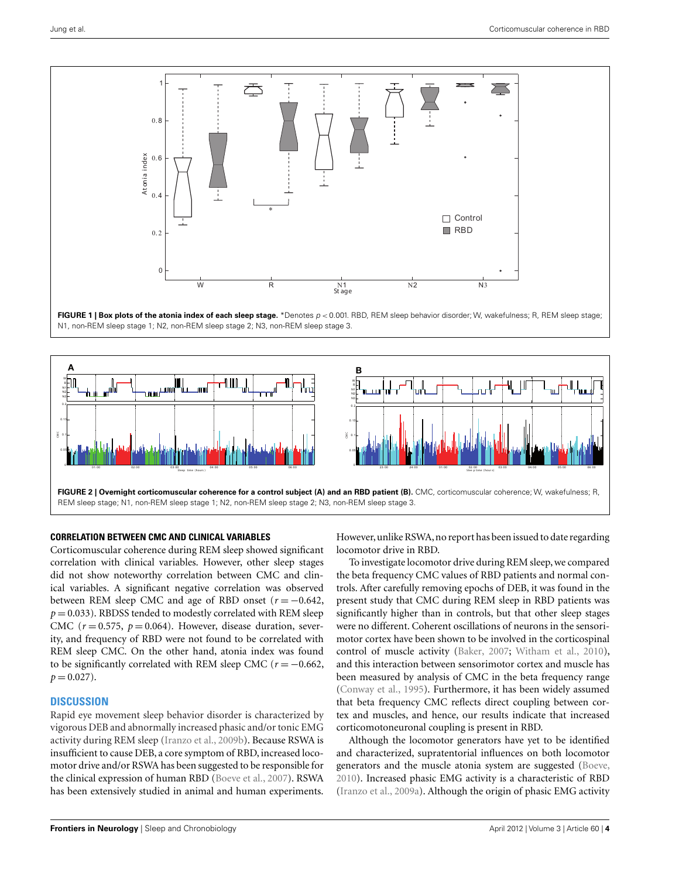<span id="page-3-0"></span>

**FIGURE 1 | Box plots of the atonia index of each sleep stage.** \*Denotes  $p < 0.001$ . RBD, REM sleep behavior disorder; W, wakefulness; R, REM sleep stage; N1, non-REM sleep stage 1; N2, non-REM sleep stage 2; N3, non-REM sleep stage 3.



#### **CORRELATION BETWEEN CMC AND CLINICAL VARIABLES**

Corticomuscular coherence during REM sleep showed significant correlation with clinical variables. However, other sleep stages did not show noteworthy correlation between CMC and clinical variables. A significant negative correlation was observed between REM sleep CMC and age of RBD onset  $(r = -0.642,$  $p = 0.033$ ). RBDSS tended to modestly correlated with REM sleep CMC  $(r = 0.575, p = 0.064)$ . However, disease duration, severity, and frequency of RBD were not found to be correlated with REM sleep CMC. On the other hand, atonia index was found to be significantly correlated with REM sleep CMC ( $r = -0.662$ ,  $p = 0.027$ .

## **DISCUSSION**

Rapid eye movement sleep behavior disorder is characterized by vigorous DEB and abnormally increased phasic and/or tonic EMG activity during REM sleep [\(Iranzo et al., 2009b\)](#page-5-0). Because RSWA is insufficient to cause DEB, a core symptom of RBD, increased locomotor drive and/or RSWA has been suggested to be responsible for the clinical expression of human RBD [\(Boeve et al.](#page-5-0), [2007](#page-5-0)). RSWA has been extensively studied in animal and human experiments.

However, unlike RSWA, no report has been issued to date regarding locomotor drive in RBD.

To investigate locomotor drive during REM sleep, we compared the beta frequency CMC values of RBD patients and normal controls. After carefully removing epochs of DEB, it was found in the present study that CMC during REM sleep in RBD patients was significantly higher than in controls, but that other sleep stages were no different. Coherent oscillations of neurons in the sensorimotor cortex have been shown to be involved in the corticospinal control of muscle activity [\(Baker, 2007;](#page-5-0) [Witham et al.](#page-5-0), [2010](#page-5-0)), and this interaction between sensorimotor cortex and muscle has been measured by analysis of CMC in the beta frequency range [\(Conway et al.](#page-5-0), [1995](#page-5-0)). Furthermore, it has been widely assumed that beta frequency CMC reflects direct coupling between cortex and muscles, and hence, our results indicate that increased corticomotoneuronal coupling is present in RBD.

Although the locomotor generators have yet to be identified and characterized, supratentorial influences on both locomotor generators and the muscle atonia system are suggested [\(Boeve,](#page-5-0) [2010\)](#page-5-0). Increased phasic EMG activity is a characteristic of RBD [\(Iranzo et al., 2009a](#page-5-0)). Although the origin of phasic EMG activity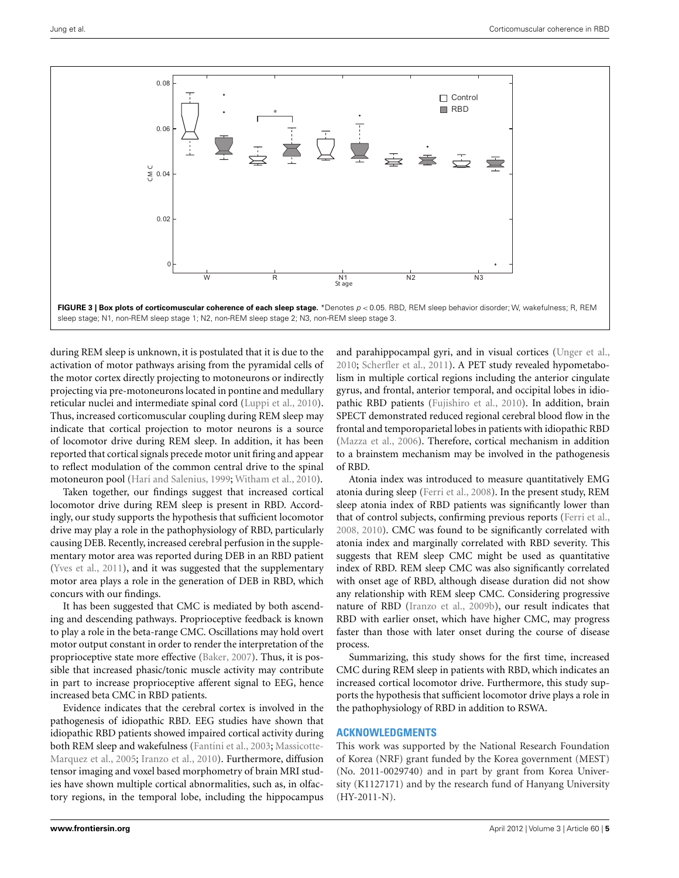<span id="page-4-0"></span>

during REM sleep is unknown, it is postulated that it is due to the activation of motor pathways arising from the pyramidal cells of the motor cortex directly projecting to motoneurons or indirectly projecting via pre-motoneurons located in pontine and medullary reticular nuclei and intermediate spinal cord [\(Luppi et al., 2010](#page-5-0)). Thus, increased corticomuscular coupling during REM sleep may indicate that cortical projection to motor neurons is a source of locomotor drive during REM sleep. In addition, it has been reported that cortical signals precede motor unit firing and appear to reflect modulation of the common central drive to the spinal motoneuron pool [\(Hari and Salenius, 1999;](#page-5-0) [Witham et al.](#page-5-0), [2010](#page-5-0)).

Taken together, our findings suggest that increased cortical locomotor drive during REM sleep is present in RBD. Accordingly, our study supports the hypothesis that sufficient locomotor drive may play a role in the pathophysiology of RBD, particularly causing DEB. Recently, increased cerebral perfusion in the supplementary motor area was reported during DEB in an RBD patient [\(Yves et al.](#page-5-0), [2011\)](#page-5-0), and it was suggested that the supplementary motor area plays a role in the generation of DEB in RBD, which concurs with our findings.

It has been suggested that CMC is mediated by both ascending and descending pathways. Proprioceptive feedback is known to play a role in the beta-range CMC. Oscillations may hold overt motor output constant in order to render the interpretation of the proprioceptive state more effective [\(Baker](#page-5-0), [2007\)](#page-5-0). Thus, it is possible that increased phasic/tonic muscle activity may contribute in part to increase proprioceptive afferent signal to EEG, hence increased beta CMC in RBD patients.

Evidence indicates that the cerebral cortex is involved in the pathogenesis of idiopathic RBD. EEG studies have shown that idiopathic RBD patients showed impaired cortical activity during both REM sle[ep and wakefulness \(Fantini et al., 2003;](#page-5-0) Massicotte-Marquez et al., [2005;](#page-5-0) [Iranzo et al.](#page-5-0), [2010\)](#page-5-0). Furthermore, diffusion tensor imaging and voxel based morphometry of brain MRI studies have shown multiple cortical abnormalities, such as, in olfactory regions, in the temporal lobe, including the hippocampus

and parahippocampal gyri, and in visual cortices [\(Unger et al.,](#page-5-0) [2010;](#page-5-0) [Scherfler et al., 2011\)](#page-5-0). A PET study revealed hypometabolism in multiple cortical regions including the anterior cingulate gyrus, and frontal, anterior temporal, and occipital lobes in idiopathic RBD patients [\(Fujishiro et al., 2010\)](#page-5-0). In addition, brain SPECT demonstrated reduced regional cerebral blood flow in the frontal and temporoparietal lobes in patients with idiopathic RBD [\(Mazza et al.](#page-5-0), [2006\)](#page-5-0). Therefore, cortical mechanism in addition to a brainstem mechanism may be involved in the pathogenesis of RBD.

Atonia index was introduced to measure quantitatively EMG atonia during sleep [\(Ferri et al., 2008](#page-5-0)). In the present study, REM sleep atonia index of RBD patients was significantly lower than that of control subjects, confirming previous reports [\(Ferri et al.,](#page-5-0) [2008, 2010\)](#page-5-0). CMC was found to be significantly correlated with atonia index and marginally correlated with RBD severity. This suggests that REM sleep CMC might be used as quantitative index of RBD. REM sleep CMC was also significantly correlated with onset age of RBD, although disease duration did not show any relationship with REM sleep CMC. Considering progressive nature of RBD [\(Iranzo et al.](#page-5-0), [2009b](#page-5-0)), our result indicates that RBD with earlier onset, which have higher CMC, may progress faster than those with later onset during the course of disease process.

Summarizing, this study shows for the first time, increased CMC during REM sleep in patients with RBD, which indicates an increased cortical locomotor drive. Furthermore, this study supports the hypothesis that sufficient locomotor drive plays a role in the pathophysiology of RBD in addition to RSWA.

## **ACKNOWLEDGMENTS**

This work was supported by the National Research Foundation of Korea (NRF) grant funded by the Korea government (MEST) (No. 2011-0029740) and in part by grant from Korea University (K1127171) and by the research fund of Hanyang University  $(HY-2011-N)$ .